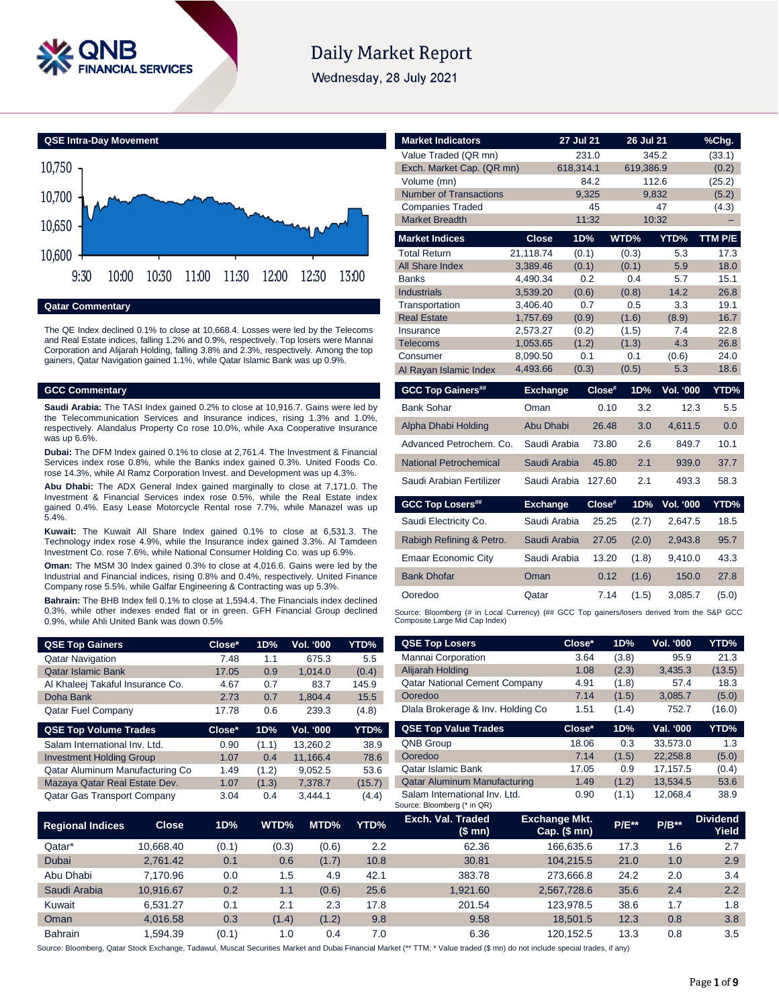

# **Daily Market Report**

Wednesday, 28 July 2021



**Qatar Commentary**

The QE Index declined 0.1% to close at 10,668.4. Losses were led by the Telecoms and Real Estate indices, falling 1.2% and 0.9%, respectively. Top losers were Mannai Corporation and Alijarah Holding, falling 3.8% and 2.3%, respectively. Among the top gainers, Qatar Navigation gained 1.1%, while Qatar Islamic Bank was up 0.9%.

# **GCC Commentary**

**Saudi Arabia:** The TASI Index gained 0.2% to close at 10,916.7. Gains were led by the Telecommunication Services and Insurance indices, rising 1.3% and 1.0%, respectively. Alandalus Property Co rose 10.0%, while Axa Cooperative Insurance was up 6.6%.

**Dubai:** The DFM Index gained 0.1% to close at 2,761.4. The Investment & Financial Services index rose 0.8%, while the Banks index gained 0.3%. United Foods Co. rose 14.3%, while Al Ramz Corporation Invest. and Development was up 4.3%.

**Abu Dhabi:** The ADX General Index gained marginally to close at 7,171.0. The Investment & Financial Services index rose 0.5%, while the Real Estate index gained 0.4%. Easy Lease Motorcycle Rental rose 7.7%, while Manazel was up 5.4%.

**Kuwait:** The Kuwait All Share Index gained 0.1% to close at 6,531.3. The Technology index rose 4.9%, while the Insurance index gained 3.3%. Al Tamdeen Investment Co. rose 7.6%, while National Consumer Holding Co. was up 6.9%.

**Oman:** The MSM 30 Index gained 0.3% to close at 4,016.6. Gains were led by the Industrial and Financial indices, rising 0.8% and 0.4%, respectively. United Finance Company rose 5.5%, while Galfar Engineering & Contracting was up 5.3%.

**Bahrain:** The BHB Index fell 0.1% to close at 1,594.4. The Financials index declined 0.3%, while other indexes ended flat or in green. GFH Financial Group declined 0.9%, while Ahli United Bank was down 0.5%

| <b>QSE Top Gainers</b>             | Close* | 1D%   | Vol. '000        | <b>YTD%</b> |
|------------------------------------|--------|-------|------------------|-------------|
| <b>Qatar Navigation</b>            | 7.48   | 1.1   | 675.3            | 5.5         |
| <b>Qatar Islamic Bank</b>          | 17.05  | 0.9   | 1.014.0          | (0.4)       |
| Al Khaleej Takaful Insurance Co.   | 4.67   | 0.7   | 83.7             | 145.9       |
| Doha Bank                          | 2.73   | 0.7   | 1.804.4          | 15.5        |
| <b>Qatar Fuel Company</b>          | 17.78  | 0.6   | 239.3            | (4.8)       |
| <b>QSE Top Volume Trades</b>       | Close* | 1D%   | <b>Vol. '000</b> | YTD%        |
| Salam International Inv. Ltd.      | 0.90   | (1.1) | 13,260.2         | 38.9        |
| <b>Investment Holding Group</b>    | 1.07   | 0.4   | 11,166.4         | 78.6        |
| Qatar Aluminum Manufacturing Co    | 1.49   | (1.2) | 9.052.5          | 53.6        |
| Mazaya Qatar Real Estate Dev.      | 1.07   | (1.3) | 7.378.7          | (15.7)      |
| <b>Qatar Gas Transport Company</b> | 3.04   | 0.4   | 3.444.1          | (4.4)       |

| <b>Market Indicators</b>                                                                                                      |                      | <b>27 Jul 21</b> |        | 26 Jul 21      |                  | %Chg.        |  |  |
|-------------------------------------------------------------------------------------------------------------------------------|----------------------|------------------|--------|----------------|------------------|--------------|--|--|
| Value Traded (QR mn)                                                                                                          |                      |                  | 231.0  |                | 345.2            | (33.1)       |  |  |
| Exch. Market Cap. (QR mn)                                                                                                     |                      | 618.314.1        |        | 619,386.9      |                  | (0.2)        |  |  |
| Volume (mn)                                                                                                                   |                      |                  | 84.2   |                | 112.6            | (25.2)       |  |  |
| <b>Number of Transactions</b>                                                                                                 |                      |                  | 9.325  |                | 9,832            | (5.2)        |  |  |
| <b>Companies Traded</b>                                                                                                       |                      |                  | 45     |                | 47               | (4.3)        |  |  |
| <b>Market Breadth</b>                                                                                                         |                      |                  | 11:32  |                | 10:32            |              |  |  |
| <b>Market Indices</b>                                                                                                         | Close                | 1D%              |        | WTD%           | YTD%             | TTM P/E      |  |  |
| <b>Total Return</b>                                                                                                           | 21.118.74            | (0.1)            |        | (0.3)          | 5.3              | 17.3         |  |  |
| All Share Index                                                                                                               | 3.389.46             | (0.1)            |        | (0.1)          | 5.9              | 18.0         |  |  |
| <b>Banks</b>                                                                                                                  | 4.490.34             |                  | 0.2    | 0.4            | 5.7              | 15.1         |  |  |
| <b>Industrials</b>                                                                                                            | 3,539.20             | (0.6)            |        | (0.8)          | 14.2             | 26.8         |  |  |
| Transportation                                                                                                                | 3,406.40             |                  | 0.7    | 0.5            | 3.3              | 19.1         |  |  |
| <b>Real Estate</b><br>Insurance                                                                                               | 1,757.69<br>2.573.27 | (0.9)<br>(0.2)   |        | (1.6)<br>(1.5) | (8.9)<br>7.4     | 16.7<br>22.8 |  |  |
| <b>Telecoms</b>                                                                                                               | 1,053.65             | (1.2)            |        | (1.3)          | 4.3              | 26.8         |  |  |
| Consumer                                                                                                                      | 8,090.50             |                  | 0.1    | 0.1            | (0.6)            | 24.0         |  |  |
| Al Rayan Islamic Index                                                                                                        | 4,493.66             | (0.3)            |        | (0.5)          | 5.3              | 18.6         |  |  |
| <b>GCC Top Gainers##</b>                                                                                                      | <b>Exchange</b>      |                  | Close# | 1D%            | <b>Vol. '000</b> | YTD%         |  |  |
| <b>Bank Sohar</b>                                                                                                             | Oman                 |                  | 0.10   | 3.2            | 12.3             | 5.5          |  |  |
| Alpha Dhabi Holding                                                                                                           | Abu Dhabi            |                  | 26.48  | 3.0            | 4,611.5          | 0.0          |  |  |
| Advanced Petrochem, Co.                                                                                                       | Saudi Arabia         |                  | 73.80  | 2.6            | 849.7            | 10.1         |  |  |
| National Petrochemical                                                                                                        | Saudi Arabia         |                  | 45.80  | 2.1            | 939.0            | 37.7         |  |  |
| Saudi Arabian Fertilizer                                                                                                      | Saudi Arabia         |                  | 127.60 | 2.1            | 493.3            | 58.3         |  |  |
| <b>GCC Top Losers##</b>                                                                                                       | <b>Exchange</b>      |                  | Close# | 1D%            | <b>Vol. '000</b> | YTD%         |  |  |
| Saudi Electricity Co.                                                                                                         | Saudi Arabia         |                  | 25.25  | (2.7)          | 2,647.5          | 18.5         |  |  |
| Rabigh Refining & Petro.                                                                                                      | Saudi Arabia         |                  | 27.05  | (2.0)          | 2,943.8          | 95.7         |  |  |
| <b>Emaar Economic City</b>                                                                                                    | Saudi Arabia         |                  | 13.20  | (1.8)          | 9,410.0          | 43.3         |  |  |
| <b>Bank Dhofar</b>                                                                                                            | Oman                 |                  | 0.12   | (1.6)          | 150.0            | 27.8         |  |  |
| Ooredoo                                                                                                                       | Qatar                |                  | 7.14   | (1.5)          | 3.085.7          | (5.0)        |  |  |
| Source: Bloomberg (# in Local Currency) (## GCC Top gainers/losers derived from the S&P GCC<br>Composite Large Mid Cap Index) |                      |                  |        |                |                  |              |  |  |

| <b>QSE Top Losers</b>                                        | Close*                                 | 1D%          | <b>Vol. '000</b> | YTD%                     |
|--------------------------------------------------------------|----------------------------------------|--------------|------------------|--------------------------|
| <b>Mannai Corporation</b>                                    | 3.64                                   | (3.8)        | 95.9             | 21.3                     |
| Alijarah Holding                                             | 1.08                                   | (2.3)        | 3,435.3          | (13.5)                   |
| <b>Qatar National Cement Company</b>                         | 4.91                                   | (1.8)        | 57.4             | 18.3                     |
| Ooredoo                                                      | 7.14                                   | (1.5)        | 3,085.7          | (5.0)                    |
| Dlala Brokerage & Inv. Holding Co.                           | 1.51                                   | (1.4)        | 752.7            | (16.0)                   |
| <b>QSE Top Value Trades</b>                                  | Close*                                 | 1D%          | Val. '000        | YTD%                     |
| <b>QNB Group</b>                                             | 18.06                                  | 0.3          | 33.573.0         | 1.3                      |
| Ooredoo                                                      | 7.14                                   | (1.5)        | 22.258.8         | (5.0)                    |
| Qatar Islamic Bank                                           | 17.05                                  | 0.9          | 17,157.5         | (0.4)                    |
| <b>Qatar Aluminum Manufacturing</b>                          | 1.49                                   | (1.2)        | 13,534.5         | 53.6                     |
| Salam International Inv. Ltd.<br>Source: Bloomberg (* in QR) | 0.90                                   | (1.1)        | 12.068.4         | 38.9                     |
| Exch. Val. Traded<br>(\$ mn)                                 | <b>Exchange Mkt.</b><br>$Cap.$ (\$ mn) | <b>P/E**</b> | $P/B**$          | <b>Dividend</b><br>Yield |
| 62.36                                                        | 166.635.6                              | 17.3         | 1.6              | 2.7                      |

| <b>Regional Indices</b> | <b>Close</b> | 1D%   | WTD%  | MTD%  | YTD% | Exch. Val. Traded<br>(\$mn) | <b>Exchange Mkt.</b><br>$Cap.$ (\$ mn) | <b>P/E**</b> | $P/B**$ | <b>Dividend</b><br>Yield |
|-------------------------|--------------|-------|-------|-------|------|-----------------------------|----------------------------------------|--------------|---------|--------------------------|
| Qatar*                  | 10.668.40    | (0.1) | (0.3) | (0.6) | 2.2  | 62.36                       | 166.635.6                              | 17.3         | l.6     | 2.7                      |
| Dubai                   | 2.761.42     | 0.1   | 0.6   | (1.7) | 10.8 | 30.81                       | 104.215.5                              | 21.0         | 1.0     | 2.9                      |
| Abu Dhabi               | 7.170.96     | 0.0   | 1.5   | 4.9   | 42.1 | 383.78                      | 273.666.8                              | 24.2         | 2.0     | 3.4                      |
| Saudi Arabia            | 10.916.67    | 0.2   | 1.1   | (0.6) | 25.6 | 1.921.60                    | 2.567.728.6                            | 35.6         | 2.4     | 2.2                      |
| Kuwait                  | 6.531.27     | 0.1   | 2.1   | 2.3   | 17.8 | 201.54                      | 123.978.5                              | 38.6         | 1.7     | 1.8                      |
| Oman                    | 4.016.58     | 0.3   | (1.4) | (1.2) | 9.8  | 9.58                        | 18.501.5                               | 12.3         | 0.8     | 3.8                      |
| <b>Bahrain</b>          | .594.39      | (0.1) | 1.0   | 0.4   | 7.0  | 6.36                        | 120.152.5                              | 13.3         | 0.8     | 3.5                      |

Source: Bloomberg, Qatar Stock Exchange, Tadawul, Muscat Securities Market and Dubai Financial Market (\*\* TTM; \* Value traded (\$ mn) do not include special trades, if any)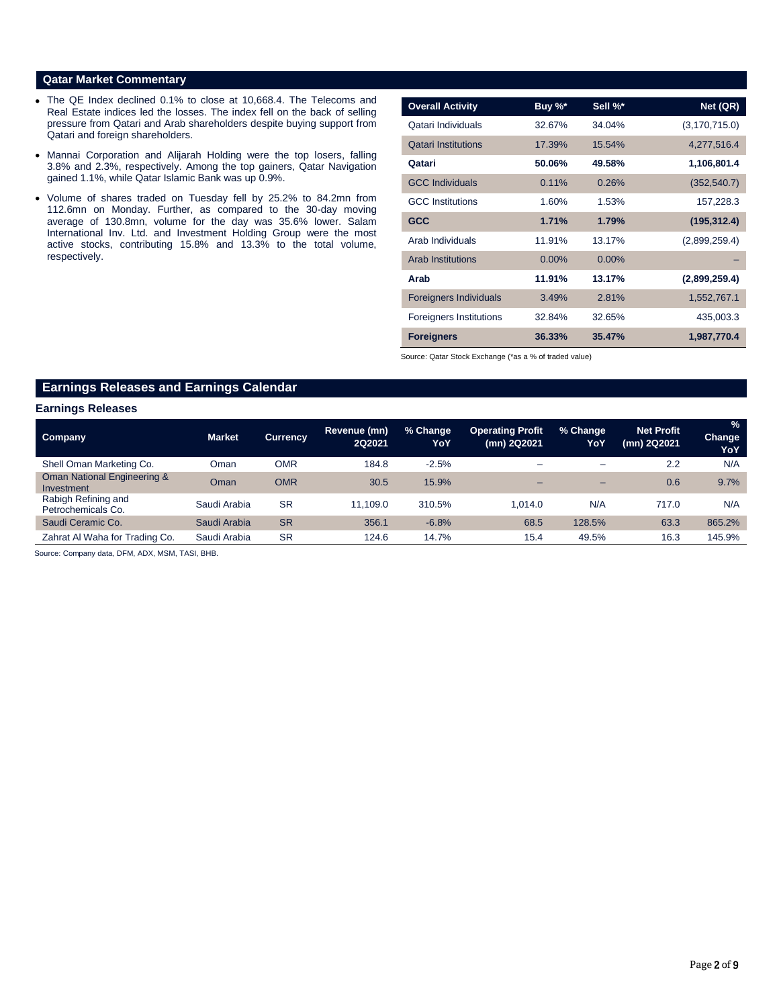# **Qatar Market Commentary**

- The QE Index declined 0.1% to close at 10,668.4. The Telecoms and Real Estate indices led the losses. The index fell on the back of selling pressure from Qatari and Arab shareholders despite buying support from Qatari and foreign shareholders.
- Mannai Corporation and Alijarah Holding were the top losers, falling 3.8% and 2.3%, respectively. Among the top gainers, Qatar Navigation gained 1.1%, while Qatar Islamic Bank was up 0.9%.
- Volume of shares traded on Tuesday fell by 25.2% to 84.2mn from 112.6mn on Monday. Further, as compared to the 30-day moving average of 130.8mn, volume for the day was 35.6% lower. Salam International Inv. Ltd. and Investment Holding Group were the most active stocks, contributing 15.8% and 13.3% to the total volume, respectively.

| <b>Overall Activity</b>        | Buy %*   | Sell %*  | Net (QR)        |
|--------------------------------|----------|----------|-----------------|
| Qatari Individuals             | 32.67%   | 34.04%   | (3, 170, 715.0) |
| <b>Qatari Institutions</b>     | 17.39%   | 15.54%   | 4,277,516.4     |
| Qatari                         | 50.06%   | 49.58%   | 1,106,801.4     |
| <b>GCC Individuals</b>         | 0.11%    | 0.26%    | (352, 540.7)    |
| <b>GCC</b> Institutions        | 1.60%    | 1.53%    | 157,228.3       |
| <b>GCC</b>                     | 1.71%    | 1.79%    | (195, 312.4)    |
| Arab Individuals               | 11.91%   | 13.17%   | (2,899,259.4)   |
| <b>Arab Institutions</b>       | $0.00\%$ | $0.00\%$ |                 |
| Arab                           | 11.91%   | 13.17%   | (2,899,259.4)   |
| <b>Foreigners Individuals</b>  | 3.49%    | 2.81%    | 1,552,767.1     |
| <b>Foreigners Institutions</b> | 32.84%   | 32.65%   | 435,003.3       |
| <b>Foreigners</b>              | 36.33%   | 35.47%   | 1,987,770.4     |

Source: Qatar Stock Exchange (\*as a % of traded value)

# **Earnings Releases and Earnings Calendar**

### **Earnings Releases**

| <b>Company</b>                            | <b>Market</b> | <b>Currency</b> | Revenue (mn)<br><b>2Q2021</b> | % Change<br>YoY | <b>Operating Profit</b><br>(mn) 2Q2021 | % Change<br>YoY | <b>Net Profit</b><br>(mn) 2Q2021 | $\%$<br>Change<br>YoY |
|-------------------------------------------|---------------|-----------------|-------------------------------|-----------------|----------------------------------------|-----------------|----------------------------------|-----------------------|
| Shell Oman Marketing Co.                  | Oman          | OMR             | 184.8                         | $-2.5%$         | -                                      | -               | 2.2                              | N/A                   |
| Oman National Engineering &<br>Investment | Oman          | <b>OMR</b>      | 30.5                          | 15.9%           | -                                      | -               | 0.6                              | 9.7%                  |
| Rabigh Refining and<br>Petrochemicals Co. | Saudi Arabia  | <b>SR</b>       | 11.109.0                      | 310.5%          | 1.014.0                                | N/A             | 717.0                            | N/A                   |
| Saudi Ceramic Co.                         | Saudi Arabia  | <b>SR</b>       | 356.1                         | $-6.8%$         | 68.5                                   | 128.5%          | 63.3                             | 865.2%                |
| Zahrat Al Waha for Trading Co.            | Saudi Arabia  | <b>SR</b>       | 124.6                         | 14.7%           | 15.4                                   | 49.5%           | 16.3                             | 145.9%                |

Source: Company data, DFM, ADX, MSM, TASI, BHB.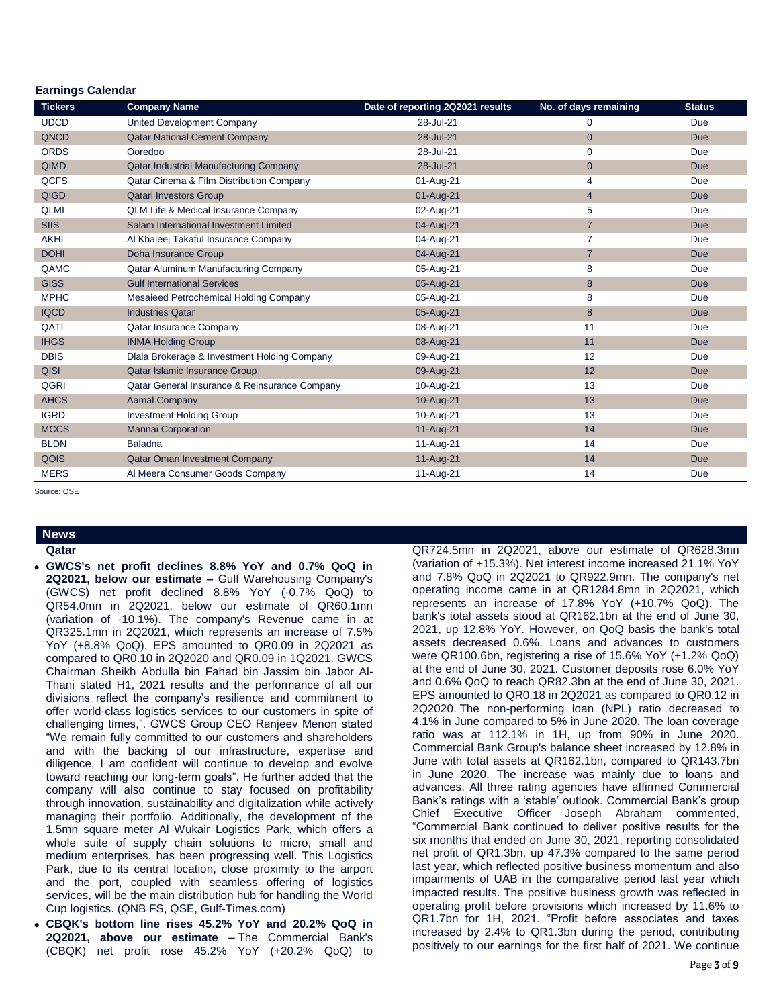# **Earnings Calendar**

| <b>Tickers</b> | <b>Company Name</b>                                 | Date of reporting 2Q2021 results | No. of days remaining | <b>Status</b> |
|----------------|-----------------------------------------------------|----------------------------------|-----------------------|---------------|
| <b>UDCD</b>    | United Development Company                          | 28-Jul-21                        | $\mathbf 0$           | Due           |
| QNCD           | <b>Qatar National Cement Company</b>                | 28-Jul-21                        | $\mathbf{0}$          | <b>Due</b>    |
| <b>ORDS</b>    | Ooredoo                                             | 28-Jul-21                        | $\mathbf 0$           | Due           |
| <b>QIMD</b>    | <b>Qatar Industrial Manufacturing Company</b>       | 28-Jul-21                        | $\mathbf{0}$          | <b>Due</b>    |
| <b>QCFS</b>    | <b>Qatar Cinema &amp; Film Distribution Company</b> | 01-Aug-21                        | 4                     | Due           |
| <b>QIGD</b>    | <b>Qatari Investors Group</b>                       | 01-Aug-21                        | $\overline{4}$        | <b>Due</b>    |
| <b>QLMI</b>    | <b>QLM Life &amp; Medical Insurance Company</b>     | 02-Aug-21                        | 5                     | Due           |
| <b>SIIS</b>    | Salam International Investment Limited              | 04-Aug-21                        | $\overline{7}$        | <b>Due</b>    |
| <b>AKHI</b>    | Al Khaleej Takaful Insurance Company                | 04-Aug-21                        | $\overline{7}$        | Due           |
| <b>DOHI</b>    | Doha Insurance Group                                | 04-Aug-21                        | $\overline{7}$        | <b>Due</b>    |
| QAMC           | Qatar Aluminum Manufacturing Company                | 05-Aug-21                        | 8                     | Due           |
| <b>GISS</b>    | <b>Gulf International Services</b>                  | 05-Aug-21                        | 8                     | <b>Due</b>    |
| <b>MPHC</b>    | Mesaieed Petrochemical Holding Company              | 05-Aug-21                        | 8                     | Due           |
| <b>IQCD</b>    | <b>Industries Qatar</b>                             | 05-Aug-21                        | 8                     | <b>Due</b>    |
| QATI           | <b>Qatar Insurance Company</b>                      | 08-Aug-21                        | 11                    | Due           |
| <b>IHGS</b>    | <b>INMA Holding Group</b>                           | 08-Aug-21                        | 11                    | <b>Due</b>    |
| <b>DBIS</b>    | Dlala Brokerage & Investment Holding Company        | 09-Aug-21                        | 12                    | Due           |
| <b>QISI</b>    | Qatar Islamic Insurance Group                       | 09-Aug-21                        | 12                    | <b>Due</b>    |
| <b>QGRI</b>    | Qatar General Insurance & Reinsurance Company       | 10-Aug-21                        | 13                    | Due           |
| <b>AHCS</b>    | <b>Aamal Company</b>                                | 10-Aug-21                        | 13                    | <b>Due</b>    |
| <b>IGRD</b>    | <b>Investment Holding Group</b>                     | 10-Aug-21                        | 13                    | Due           |
| <b>MCCS</b>    | <b>Mannai Corporation</b>                           | 11-Aug-21                        | 14                    | <b>Due</b>    |
| <b>BLDN</b>    | Baladna                                             | 11-Aug-21                        | 14                    | Due           |
| QOIS           | <b>Qatar Oman Investment Company</b>                | 11-Aug-21                        | 14                    | <b>Due</b>    |
| <b>MERS</b>    | Al Meera Consumer Goods Company                     | 11-Aug-21                        | 14                    | Due           |

Source: QSE

# **News**

**Qatar** 

- **GWCS's net profit declines 8.8% YoY and 0.7% QoQ in 2Q2021, below our estimate –** Gulf Warehousing Company's (GWCS) net profit declined 8.8% YoY (-0.7% QoQ) to QR54.0mn in 2Q2021, below our estimate of QR60.1mn (variation of -10.1%). The company's Revenue came in at QR325.1mn in 2Q2021, which represents an increase of 7.5% YoY (+8.8% QoQ). EPS amounted to QR0.09 in 2Q2021 as compared to QR0.10 in 2Q2020 and QR0.09 in 1Q2021. GWCS Chairman Sheikh Abdulla bin Fahad bin Jassim bin Jabor Al-Thani stated H1, 2021 results and the performance of all our divisions reflect the company's resilience and commitment to offer world-class logistics services to our customers in spite of challenging times,". GWCS Group CEO Ranjeev Menon stated "We remain fully committed to our customers and shareholders and with the backing of our infrastructure, expertise and diligence, I am confident will continue to develop and evolve toward reaching our long-term goals". He further added that the company will also continue to stay focused on profitability through innovation, sustainability and digitalization while actively managing their portfolio. Additionally, the development of the 1.5mn square meter Al Wukair Logistics Park, which offers a whole suite of supply chain solutions to micro, small and medium enterprises, has been progressing well. This Logistics Park, due to its central location, close proximity to the airport and the port, coupled with seamless offering of logistics services, will be the main distribution hub for handling the World Cup logistics. (QNB FS, QSE, Gulf-Times.com)
- **CBQK's bottom line rises 45.2% YoY and 20.2% QoQ in 2Q2021, above our estimate –** The Commercial Bank's (CBQK) net profit rose 45.2% YoY (+20.2% QoQ) to

QR724.5mn in 2Q2021, above our estimate of QR628.3mn (variation of +15.3%). Net interest income increased 21.1% YoY and 7.8% QoQ in 2Q2021 to QR922.9mn. The company's net operating income came in at QR1284.8mn in 2Q2021, which represents an increase of 17.8% YoY (+10.7% QoQ). The bank's total assets stood at QR162.1bn at the end of June 30, 2021, up 12.8% YoY. However, on QoQ basis the bank's total assets decreased 0.6%. Loans and advances to customers were QR100.6bn, registering a rise of 15.6% YoY (+1.2% QoQ) at the end of June 30, 2021. Customer deposits rose 6.0% YoY and 0.6% QoQ to reach QR82.3bn at the end of June 30, 2021. EPS amounted to QR0.18 in 2Q2021 as compared to QR0.12 in 2Q2020. The non-performing loan (NPL) ratio decreased to 4.1% in June compared to 5% in June 2020. The loan coverage ratio was at 112.1% in 1H, up from 90% in June 2020. Commercial Bank Group's balance sheet increased by 12.8% in June with total assets at QR162.1bn, compared to QR143.7bn in June 2020. The increase was mainly due to loans and advances. All three rating agencies have affirmed Commercial Bank's ratings with a 'stable' outlook. Commercial Bank's group Chief Executive Officer Joseph Abraham commented, "Commercial Bank continued to deliver positive results for the six months that ended on June 30, 2021, reporting consolidated net profit of QR1.3bn, up 47.3% compared to the same period last year, which reflected positive business momentum and also impairments of UAB in the comparative period last year which impacted results. The positive business growth was reflected in operating profit before provisions which increased by 11.6% to QR1.7bn for 1H, 2021. "Profit before associates and taxes increased by 2.4% to QR1.3bn during the period, contributing positively to our earnings for the first half of 2021. We continue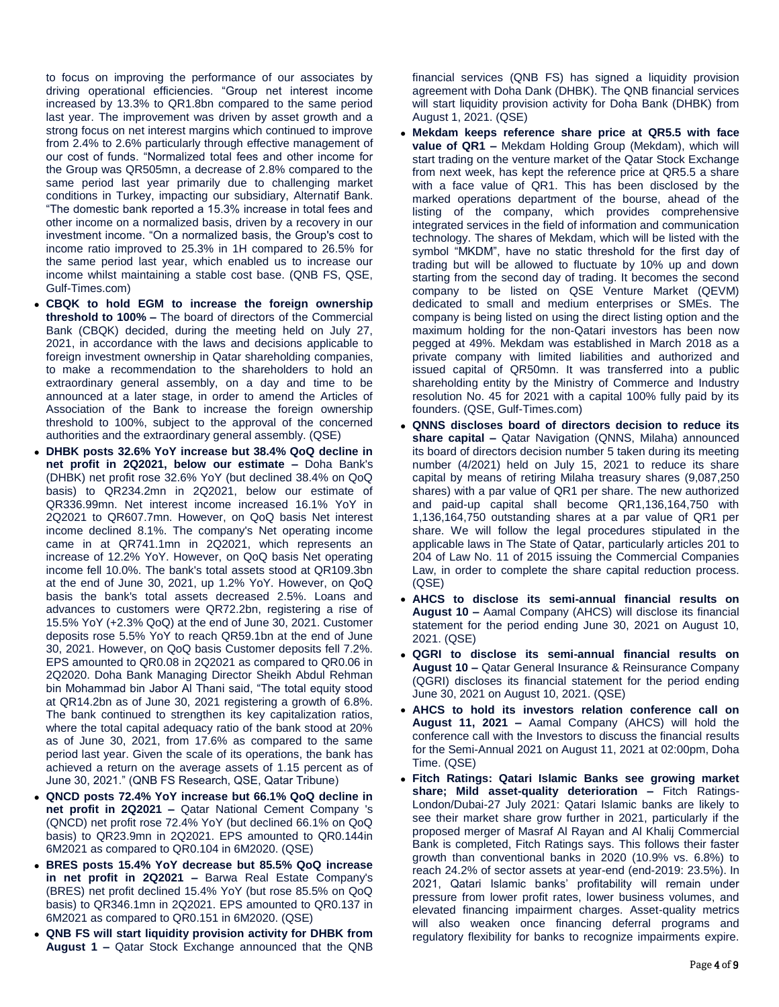to focus on improving the performance of our associates by driving operational efficiencies. "Group net interest income increased by 13.3% to QR1.8bn compared to the same period last year. The improvement was driven by asset growth and a strong focus on net interest margins which continued to improve from 2.4% to 2.6% particularly through effective management of our cost of funds. "Normalized total fees and other income for the Group was QR505mn, a decrease of 2.8% compared to the same period last year primarily due to challenging market conditions in Turkey, impacting our subsidiary, Alternatif Bank. "The domestic bank reported a 15.3% increase in total fees and other income on a normalized basis, driven by a recovery in our investment income. "On a normalized basis, the Group's cost to income ratio improved to 25.3% in 1H compared to 26.5% for the same period last year, which enabled us to increase our income whilst maintaining a stable cost base. (QNB FS, QSE, Gulf-Times.com)

- **CBQK to hold EGM to increase the foreign ownership threshold to 100% –** The board of directors of the Commercial Bank (CBQK) decided, during the meeting held on July 27, 2021, in accordance with the laws and decisions applicable to foreign investment ownership in Qatar shareholding companies, to make a recommendation to the shareholders to hold an extraordinary general assembly, on a day and time to be announced at a later stage, in order to amend the Articles of Association of the Bank to increase the foreign ownership threshold to 100%, subject to the approval of the concerned authorities and the extraordinary general assembly. (QSE)
- **DHBK posts 32.6% YoY increase but 38.4% QoQ decline in net profit in 2Q2021, below our estimate –** Doha Bank's (DHBK) net profit rose 32.6% YoY (but declined 38.4% on QoQ basis) to QR234.2mn in 2Q2021, below our estimate of QR336.99mn. Net interest income increased 16.1% YoY in 2Q2021 to QR607.7mn. However, on QoQ basis Net interest income declined 8.1%. The company's Net operating income came in at QR741.1mn in 2Q2021, which represents an increase of 12.2% YoY. However, on QoQ basis Net operating income fell 10.0%. The bank's total assets stood at QR109.3bn at the end of June 30, 2021, up 1.2% YoY. However, on QoQ basis the bank's total assets decreased 2.5%. Loans and advances to customers were QR72.2bn, registering a rise of 15.5% YoY (+2.3% QoQ) at the end of June 30, 2021. Customer deposits rose 5.5% YoY to reach QR59.1bn at the end of June 30, 2021. However, on QoQ basis Customer deposits fell 7.2%. EPS amounted to QR0.08 in 2Q2021 as compared to QR0.06 in 2Q2020. Doha Bank Managing Director Sheikh Abdul Rehman bin Mohammad bin Jabor Al Thani said, "The total equity stood at QR14.2bn as of June 30, 2021 registering a growth of 6.8%. The bank continued to strengthen its key capitalization ratios, where the total capital adequacy ratio of the bank stood at 20% as of June 30, 2021, from 17.6% as compared to the same period last year. Given the scale of its operations, the bank has achieved a return on the average assets of 1.15 percent as of June 30, 2021." (QNB FS Research, QSE, Qatar Tribune)
- **QNCD posts 72.4% YoY increase but 66.1% QoQ decline in net profit in 2Q2021 –** Qatar National Cement Company 's (QNCD) net profit rose 72.4% YoY (but declined 66.1% on QoQ basis) to QR23.9mn in 2Q2021. EPS amounted to QR0.144in 6M2021 as compared to QR0.104 in 6M2020. (QSE)
- **BRES posts 15.4% YoY decrease but 85.5% QoQ increase in net profit in 2Q2021 –** Barwa Real Estate Company's (BRES) net profit declined 15.4% YoY (but rose 85.5% on QoQ basis) to QR346.1mn in 2Q2021. EPS amounted to QR0.137 in 6M2021 as compared to QR0.151 in 6M2020. (QSE)
- **QNB FS will start liquidity provision activity for DHBK from August 1 –** Qatar Stock Exchange announced that the QNB

financial services (QNB FS) has signed a liquidity provision agreement with Doha Dank (DHBK). The QNB financial services will start liquidity provision activity for Doha Bank (DHBK) from August 1, 2021. (QSE)

- **Mekdam keeps reference share price at QR5.5 with face value of QR1 –** Mekdam Holding Group (Mekdam), which will start trading on the venture market of the Qatar Stock Exchange from next week, has kept the reference price at QR5.5 a share with a face value of QR1. This has been disclosed by the marked operations department of the bourse, ahead of the listing of the company, which provides comprehensive integrated services in the field of information and communication technology. The shares of Mekdam, which will be listed with the symbol "MKDM", have no static threshold for the first day of trading but will be allowed to fluctuate by 10% up and down starting from the second day of trading. It becomes the second company to be listed on QSE Venture Market (QEVM) dedicated to small and medium enterprises or SMEs. The company is being listed on using the direct listing option and the maximum holding for the non-Qatari investors has been now pegged at 49%. Mekdam was established in March 2018 as a private company with limited liabilities and authorized and issued capital of QR50mn. It was transferred into a public shareholding entity by the Ministry of Commerce and Industry resolution No. 45 for 2021 with a capital 100% fully paid by its founders. (QSE, Gulf-Times.com)
- **QNNS discloses board of directors decision to reduce its share capital –** Qatar Navigation (QNNS, Milaha) announced its board of directors decision number 5 taken during its meeting number (4/2021) held on July 15, 2021 to reduce its share capital by means of retiring Milaha treasury shares (9,087,250 shares) with a par value of QR1 per share. The new authorized and paid-up capital shall become QR1,136,164,750 with 1,136,164,750 outstanding shares at a par value of QR1 per share. We will follow the legal procedures stipulated in the applicable laws in The State of Qatar, particularly articles 201 to 204 of Law No. 11 of 2015 issuing the Commercial Companies Law, in order to complete the share capital reduction process. (QSE)
- **AHCS to disclose its semi-annual financial results on August 10 –** Aamal Company (AHCS) will disclose its financial statement for the period ending June 30, 2021 on August 10, 2021. (QSE)
- **QGRI to disclose its semi-annual financial results on August 10 –** Qatar General Insurance & Reinsurance Company (QGRI) discloses its financial statement for the period ending June 30, 2021 on August 10, 2021. (QSE)
- **AHCS to hold its investors relation conference call on August 11, 2021 –** Aamal Company (AHCS) will hold the conference call with the Investors to discuss the financial results for the Semi-Annual 2021 on August 11, 2021 at 02:00pm, Doha Time. (QSE)
- **Fitch Ratings: Qatari Islamic Banks see growing market share; Mild asset-quality deterioration –** Fitch Ratings-London/Dubai-27 July 2021: Qatari Islamic banks are likely to see their market share grow further in 2021, particularly if the proposed merger of Masraf Al Rayan and Al Khalij Commercial Bank is completed, Fitch Ratings says. This follows their faster growth than conventional banks in 2020 (10.9% vs. 6.8%) to reach 24.2% of sector assets at year-end (end-2019: 23.5%). In 2021, Qatari Islamic banks' profitability will remain under pressure from lower profit rates, lower business volumes, and elevated financing impairment charges. Asset-quality metrics will also weaken once financing deferral programs and regulatory flexibility for banks to recognize impairments expire.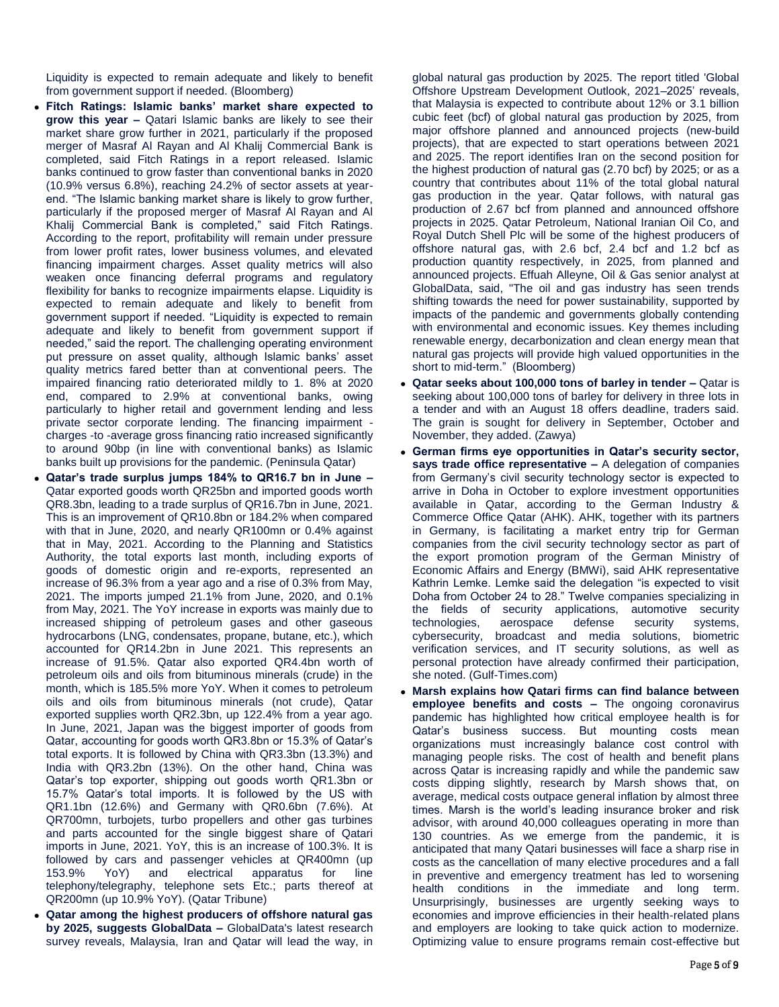Liquidity is expected to remain adequate and likely to benefit from government support if needed. (Bloomberg)

- **Fitch Ratings: Islamic banks' market share expected to grow this year –** Qatari Islamic banks are likely to see their market share grow further in 2021, particularly if the proposed merger of Masraf Al Rayan and Al Khalij Commercial Bank is completed, said Fitch Ratings in a report released. Islamic banks continued to grow faster than conventional banks in 2020 (10.9% versus 6.8%), reaching 24.2% of sector assets at yearend. "The Islamic banking market share is likely to grow further, particularly if the proposed merger of Masraf Al Rayan and Al Khalij Commercial Bank is completed," said Fitch Ratings. According to the report, profitability will remain under pressure from lower profit rates, lower business volumes, and elevated financing impairment charges. Asset quality metrics will also weaken once financing deferral programs and regulatory flexibility for banks to recognize impairments elapse. Liquidity is expected to remain adequate and likely to benefit from government support if needed. "Liquidity is expected to remain adequate and likely to benefit from government support if needed," said the report. The challenging operating environment put pressure on asset quality, although Islamic banks' asset quality metrics fared better than at conventional peers. The impaired financing ratio deteriorated mildly to 1. 8% at 2020 end, compared to 2.9% at conventional banks, owing particularly to higher retail and government lending and less private sector corporate lending. The financing impairment charges -to -average gross financing ratio increased significantly to around 90bp (in line with conventional banks) as Islamic banks built up provisions for the pandemic. (Peninsula Qatar)
- **Qatar's trade surplus jumps 184% to QR16.7 bn in June –** Qatar exported goods worth QR25bn and imported goods worth QR8.3bn, leading to a trade surplus of QR16.7bn in June, 2021. This is an improvement of QR10.8bn or 184.2% when compared with that in June, 2020, and nearly QR100mn or 0.4% against that in May, 2021. According to the Planning and Statistics Authority, the total exports last month, including exports of goods of domestic origin and re-exports, represented an increase of 96.3% from a year ago and a rise of 0.3% from May, 2021. The imports jumped 21.1% from June, 2020, and 0.1% from May, 2021. The YoY increase in exports was mainly due to increased shipping of petroleum gases and other gaseous hydrocarbons (LNG, condensates, propane, butane, etc.), which accounted for QR14.2bn in June 2021. This represents an increase of 91.5%. Qatar also exported QR4.4bn worth of petroleum oils and oils from bituminous minerals (crude) in the month, which is 185.5% more YoY. When it comes to petroleum oils and oils from bituminous minerals (not crude), Qatar exported supplies worth QR2.3bn, up 122.4% from a year ago. In June, 2021, Japan was the biggest importer of goods from Qatar, accounting for goods worth QR3.8bn or 15.3% of Qatar's total exports. It is followed by China with QR3.3bn (13.3%) and India with QR3.2bn (13%). On the other hand, China was Qatar's top exporter, shipping out goods worth QR1.3bn or 15.7% Qatar's total imports. It is followed by the US with QR1.1bn (12.6%) and Germany with QR0.6bn (7.6%). At QR700mn, turbojets, turbo propellers and other gas turbines and parts accounted for the single biggest share of Qatari imports in June, 2021. YoY, this is an increase of 100.3%. It is followed by cars and passenger vehicles at QR400mn (up 153.9% YoY) and electrical apparatus for line telephony/telegraphy, telephone sets Etc.; parts thereof at QR200mn (up 10.9% YoY). (Qatar Tribune)
- **Qatar among the highest producers of offshore natural gas by 2025, suggests GlobalData –** GlobalData's latest research survey reveals, Malaysia, Iran and Qatar will lead the way, in

global natural gas production by 2025. The report titled 'Global Offshore Upstream Development Outlook, 2021–2025' reveals, that Malaysia is expected to contribute about 12% or 3.1 billion cubic feet (bcf) of global natural gas production by 2025, from major offshore planned and announced projects (new-build projects), that are expected to start operations between 2021 and 2025. The report identifies Iran on the second position for the highest production of natural gas (2.70 bcf) by 2025; or as a country that contributes about 11% of the total global natural gas production in the year. Qatar follows, with natural gas production of 2.67 bcf from planned and announced offshore projects in 2025. Qatar Petroleum, National Iranian Oil Co, and Royal Dutch Shell Plc will be some of the highest producers of offshore natural gas, with 2.6 bcf, 2.4 bcf and 1.2 bcf as production quantity respectively, in 2025, from planned and announced projects. Effuah Alleyne, Oil & Gas senior analyst at GlobalData, said, "The oil and gas industry has seen trends shifting towards the need for power sustainability, supported by impacts of the pandemic and governments globally contending with environmental and economic issues. Key themes including renewable energy, decarbonization and clean energy mean that natural gas projects will provide high valued opportunities in the short to mid-term." (Bloomberg)

- **Qatar seeks about 100,000 tons of barley in tender –** Qatar is seeking about 100,000 tons of barley for delivery in three lots in a tender and with an August 18 offers deadline, traders said. The grain is sought for delivery in September, October and November, they added. (Zawya)
- **German firms eye opportunities in Qatar's security sector, says trade office representative –** A delegation of companies from Germany's civil security technology sector is expected to arrive in Doha in October to explore investment opportunities available in Qatar, according to the German Industry & Commerce Office Qatar (AHK). AHK, together with its partners in Germany, is facilitating a market entry trip for German companies from the civil security technology sector as part of the export promotion program of the German Ministry of Economic Affairs and Energy (BMWi), said AHK representative Kathrin Lemke. Lemke said the delegation "is expected to visit Doha from October 24 to 28." Twelve companies specializing in the fields of security applications, automotive security technologies, aerospace defense security systems, cybersecurity, broadcast and media solutions, biometric verification services, and IT security solutions, as well as personal protection have already confirmed their participation, she noted. (Gulf-Times.com)
- **Marsh explains how Qatari firms can find balance between employee benefits and costs –** The ongoing coronavirus pandemic has highlighted how critical employee health is for Qatar's business success. But mounting costs mean organizations must increasingly balance cost control with managing people risks. The cost of health and benefit plans across Qatar is increasing rapidly and while the pandemic saw costs dipping slightly, research by Marsh shows that, on average, medical costs outpace general inflation by almost three times. Marsh is the world's leading insurance broker and risk advisor, with around 40,000 colleagues operating in more than 130 countries. As we emerge from the pandemic, it is anticipated that many Qatari businesses will face a sharp rise in costs as the cancellation of many elective procedures and a fall in preventive and emergency treatment has led to worsening health conditions in the immediate and long term. Unsurprisingly, businesses are urgently seeking ways to economies and improve efficiencies in their health-related plans and employers are looking to take quick action to modernize. Optimizing value to ensure programs remain cost-effective but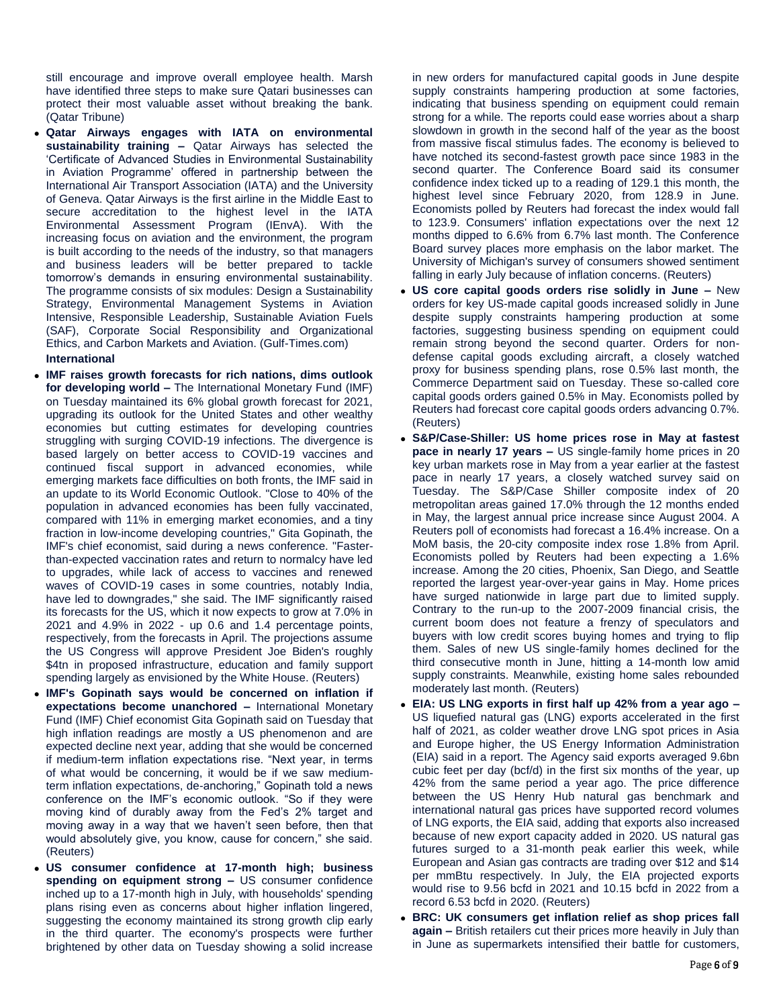still encourage and improve overall employee health. Marsh have identified three steps to make sure Qatari businesses can protect their most valuable asset without breaking the bank. (Qatar Tribune)

- **Qatar Airways engages with IATA on environmental sustainability training –** Qatar Airways has selected the 'Certificate of Advanced Studies in Environmental Sustainability in Aviation Programme' offered in partnership between the International Air Transport Association (IATA) and the University of Geneva. Qatar Airways is the first airline in the Middle East to secure accreditation to the highest level in the IATA Environmental Assessment Program (IEnvA). With the increasing focus on aviation and the environment, the program is built according to the needs of the industry, so that managers and business leaders will be better prepared to tackle tomorrow's demands in ensuring environmental sustainability. The programme consists of six modules: Design a Sustainability Strategy, Environmental Management Systems in Aviation Intensive, Responsible Leadership, Sustainable Aviation Fuels (SAF), Corporate Social Responsibility and Organizational Ethics, and Carbon Markets and Aviation. (Gulf-Times.com) **International**
- **IMF raises growth forecasts for rich nations, dims outlook for developing world –** The International Monetary Fund (IMF) on Tuesday maintained its 6% global growth forecast for 2021, upgrading its outlook for the United States and other wealthy economies but cutting estimates for developing countries struggling with surging COVID-19 infections. The divergence is based largely on better access to COVID-19 vaccines and continued fiscal support in advanced economies, while emerging markets face difficulties on both fronts, the IMF said in an update to its World Economic Outlook. "Close to 40% of the population in advanced economies has been fully vaccinated, compared with 11% in emerging market economies, and a tiny fraction in low-income developing countries," Gita Gopinath, the IMF's chief economist, said during a news conference. "Fasterthan-expected vaccination rates and return to normalcy have led to upgrades, while lack of access to vaccines and renewed waves of COVID-19 cases in some countries, notably India, have led to downgrades," she said. The IMF significantly raised its forecasts for the US, which it now expects to grow at 7.0% in 2021 and 4.9% in 2022 - up 0.6 and 1.4 percentage points, respectively, from the forecasts in April. The projections assume the US Congress will approve President Joe Biden's roughly \$4tn in proposed infrastructure, education and family support spending largely as envisioned by the White House. (Reuters)
- **IMF's Gopinath says would be concerned on inflation if expectations become unanchored –** International Monetary Fund (IMF) Chief economist Gita Gopinath said on Tuesday that high inflation readings are mostly a US phenomenon and are expected decline next year, adding that she would be concerned if medium-term inflation expectations rise. "Next year, in terms of what would be concerning, it would be if we saw mediumterm inflation expectations, de-anchoring," Gopinath told a news conference on the IMF's economic outlook. "So if they were moving kind of durably away from the Fed's 2% target and moving away in a way that we haven't seen before, then that would absolutely give, you know, cause for concern," she said. (Reuters)
- **US consumer confidence at 17-month high; business spending on equipment strong –** US consumer confidence inched up to a 17-month high in July, with households' spending plans rising even as concerns about higher inflation lingered, suggesting the economy maintained its strong growth clip early in the third quarter. The economy's prospects were further brightened by other data on Tuesday showing a solid increase

in new orders for manufactured capital goods in June despite supply constraints hampering production at some factories, indicating that business spending on equipment could remain strong for a while. The reports could ease worries about a sharp slowdown in growth in the second half of the year as the boost from massive fiscal stimulus fades. The economy is believed to have notched its second-fastest growth pace since 1983 in the second quarter. The Conference Board said its consumer confidence index ticked up to a reading of 129.1 this month, the highest level since February 2020, from 128.9 in June. Economists polled by Reuters had forecast the index would fall to 123.9. Consumers' inflation expectations over the next 12 months dipped to 6.6% from 6.7% last month. The Conference Board survey places more emphasis on the labor market. The University of Michigan's survey of consumers showed sentiment falling in early July because of inflation concerns. (Reuters)

- **US core capital goods orders rise solidly in June –** New orders for key US-made capital goods increased solidly in June despite supply constraints hampering production at some factories, suggesting business spending on equipment could remain strong beyond the second quarter. Orders for nondefense capital goods excluding aircraft, a closely watched proxy for business spending plans, rose 0.5% last month, the Commerce Department said on Tuesday. These so-called core capital goods orders gained 0.5% in May. Economists polled by Reuters had forecast core capital goods orders advancing 0.7%. (Reuters)
- **S&P/Case-Shiller: US home prices rose in May at fastest pace in nearly 17 years –** US single-family home prices in 20 key urban markets rose in May from a year earlier at the fastest pace in nearly 17 years, a closely watched survey said on Tuesday. The S&P/Case Shiller composite index of 20 metropolitan areas gained 17.0% through the 12 months ended in May, the largest annual price increase since August 2004. A Reuters poll of economists had forecast a 16.4% increase. On a MoM basis, the 20-city composite index rose 1.8% from April. Economists polled by Reuters had been expecting a 1.6% increase. Among the 20 cities, Phoenix, San Diego, and Seattle reported the largest year-over-year gains in May. Home prices have surged nationwide in large part due to limited supply. Contrary to the run-up to the 2007-2009 financial crisis, the current boom does not feature a frenzy of speculators and buyers with low credit scores buying homes and trying to flip them. Sales of new US single-family homes declined for the third consecutive month in June, hitting a 14-month low amid supply constraints. Meanwhile, existing home sales rebounded moderately last month. (Reuters)
- **EIA: US LNG exports in first half up 42% from a year ago –** US liquefied natural gas (LNG) exports accelerated in the first half of 2021, as colder weather drove LNG spot prices in Asia and Europe higher, the US Energy Information Administration (EIA) said in a report. The Agency said exports averaged 9.6bn cubic feet per day (bcf/d) in the first six months of the year, up 42% from the same period a year ago. The price difference between the US Henry Hub natural gas benchmark and international natural gas prices have supported record volumes of LNG exports, the EIA said, adding that exports also increased because of new export capacity added in 2020. US natural gas futures surged to a 31-month peak earlier this week, while European and Asian gas contracts are trading over \$12 and \$14 per mmBtu respectively. In July, the EIA projected exports would rise to 9.56 bcfd in 2021 and 10.15 bcfd in 2022 from a record 6.53 bcfd in 2020. (Reuters)
- **BRC: UK consumers get inflation relief as shop prices fall again –** British retailers cut their prices more heavily in July than in June as supermarkets intensified their battle for customers,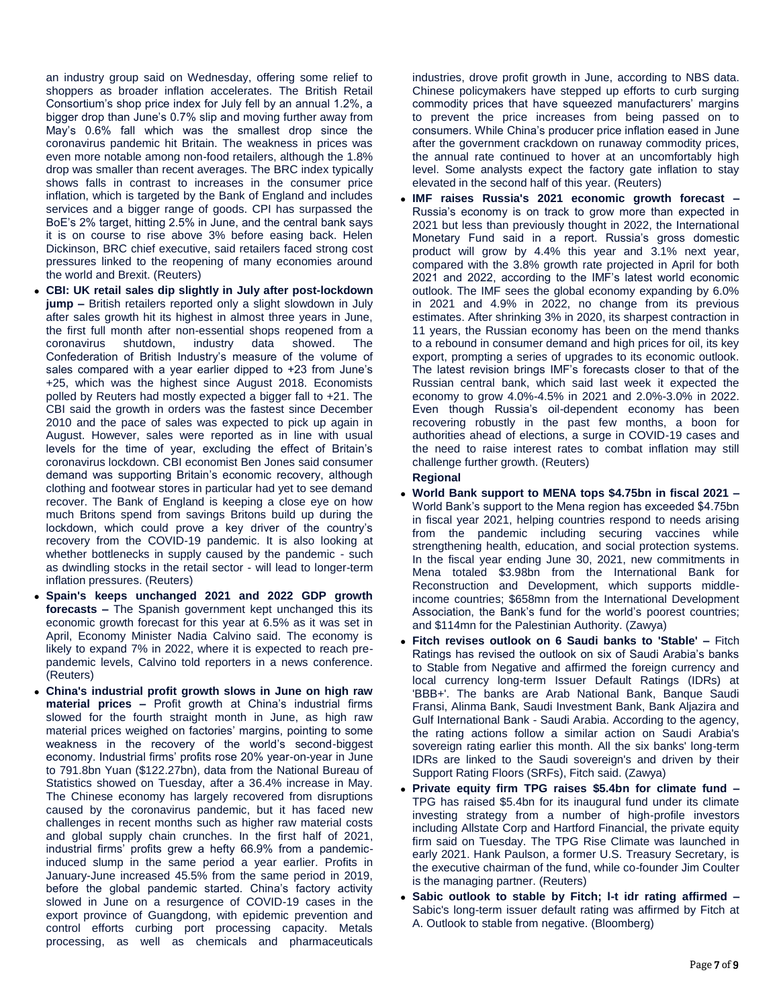an industry group said on Wednesday, offering some relief to shoppers as broader inflation accelerates. The British Retail Consortium's shop price index for July fell by an annual 1.2%, a bigger drop than June's 0.7% slip and moving further away from May's 0.6% fall which was the smallest drop since the coronavirus pandemic hit Britain. The weakness in prices was even more notable among non-food retailers, although the 1.8% drop was smaller than recent averages. The BRC index typically shows falls in contrast to increases in the consumer price inflation, which is targeted by the Bank of England and includes services and a bigger range of goods. CPI has surpassed the BoE's 2% target, hitting 2.5% in June, and the central bank says it is on course to rise above 3% before easing back. Helen Dickinson, BRC chief executive, said retailers faced strong cost pressures linked to the reopening of many economies around the world and Brexit. (Reuters)

- **CBI: UK retail sales dip slightly in July after post-lockdown jump –** British retailers reported only a slight slowdown in July after sales growth hit its highest in almost three years in June, the first full month after non-essential shops reopened from a coronavirus shutdown, industry data showed. The Confederation of British Industry's measure of the volume of sales compared with a year earlier dipped to +23 from June's +25, which was the highest since August 2018. Economists polled by Reuters had mostly expected a bigger fall to +21. The CBI said the growth in orders was the fastest since December 2010 and the pace of sales was expected to pick up again in August. However, sales were reported as in line with usual levels for the time of year, excluding the effect of Britain's coronavirus lockdown. CBI economist Ben Jones said consumer demand was supporting Britain's economic recovery, although clothing and footwear stores in particular had yet to see demand recover. The Bank of England is keeping a close eye on how much Britons spend from savings Britons build up during the lockdown, which could prove a key driver of the country's recovery from the COVID-19 pandemic. It is also looking at whether bottlenecks in supply caused by the pandemic - such as dwindling stocks in the retail sector - will lead to longer-term inflation pressures. (Reuters)
- **Spain's keeps unchanged 2021 and 2022 GDP growth forecasts –** The Spanish government kept unchanged this its economic growth forecast for this year at 6.5% as it was set in April, Economy Minister Nadia Calvino said. The economy is likely to expand 7% in 2022, where it is expected to reach prepandemic levels, Calvino told reporters in a news conference. (Reuters)
- **China's industrial profit growth slows in June on high raw material prices –** Profit growth at China's industrial firms slowed for the fourth straight month in June, as high raw material prices weighed on factories' margins, pointing to some weakness in the recovery of the world's second-biggest economy. Industrial firms' profits rose 20% year-on-year in June to 791.8bn Yuan (\$122.27bn), data from the National Bureau of Statistics showed on Tuesday, after a 36.4% increase in May. The Chinese economy has largely recovered from disruptions caused by the coronavirus pandemic, but it has faced new challenges in recent months such as higher raw material costs and global supply chain crunches. In the first half of 2021, industrial firms' profits grew a hefty 66.9% from a pandemicinduced slump in the same period a year earlier. Profits in January-June increased 45.5% from the same period in 2019, before the global pandemic started. China's factory activity slowed in June on a resurgence of COVID-19 cases in the export province of Guangdong, with epidemic prevention and control efforts curbing port processing capacity. Metals processing, as well as chemicals and pharmaceuticals

industries, drove profit growth in June, according to NBS data. Chinese policymakers have stepped up efforts to curb surging commodity prices that have squeezed manufacturers' margins to prevent the price increases from being passed on to consumers. While China's producer price inflation eased in June after the government crackdown on runaway commodity prices, the annual rate continued to hover at an uncomfortably high level. Some analysts expect the factory gate inflation to stay elevated in the second half of this year. (Reuters)

 **IMF raises Russia's 2021 economic growth forecast –** Russia's economy is on track to grow more than expected in 2021 but less than previously thought in 2022, the International Monetary Fund said in a report. Russia's gross domestic product will grow by 4.4% this year and 3.1% next year, compared with the 3.8% growth rate projected in April for both 2021 and 2022, according to the IMF's latest world economic outlook. The IMF sees the global economy expanding by 6.0% in 2021 and 4.9% in 2022, no change from its previous estimates. After shrinking 3% in 2020, its sharpest contraction in 11 years, the Russian economy has been on the mend thanks to a rebound in consumer demand and high prices for oil, its key export, prompting a series of upgrades to its economic outlook. The latest revision brings IMF's forecasts closer to that of the Russian central bank, which said last week it expected the economy to grow 4.0%-4.5% in 2021 and 2.0%-3.0% in 2022. Even though Russia's oil-dependent economy has been recovering robustly in the past few months, a boon for authorities ahead of elections, a surge in COVID-19 cases and the need to raise interest rates to combat inflation may still challenge further growth. (Reuters)

# **Regional**

- **World Bank support to MENA tops \$4.75bn in fiscal 2021 –** World Bank's support to the Mena region has exceeded \$4.75bn in fiscal year 2021, helping countries respond to needs arising from the pandemic including securing vaccines while strengthening health, education, and social protection systems. In the fiscal year ending June 30, 2021, new commitments in Mena totaled \$3.98bn from the International Bank for Reconstruction and Development, which supports middleincome countries; \$658mn from the International Development Association, the Bank's fund for the world's poorest countries; and \$114mn for the Palestinian Authority. (Zawya)
- **Fitch revises outlook on 6 Saudi banks to 'Stable' –** Fitch Ratings has revised the outlook on six of Saudi Arabia's banks to Stable from Negative and affirmed the foreign currency and local currency long-term Issuer Default Ratings (IDRs) at 'BBB+'. The banks are Arab National Bank, Banque Saudi Fransi, Alinma Bank, Saudi Investment Bank, Bank Aljazira and Gulf International Bank - Saudi Arabia. According to the agency, the rating actions follow a similar action on Saudi Arabia's sovereign rating earlier this month. All the six banks' long-term IDRs are linked to the Saudi sovereign's and driven by their Support Rating Floors (SRFs), Fitch said. (Zawya)
- **Private equity firm TPG raises \$5.4bn for climate fund –** TPG has raised \$5.4bn for its inaugural fund under its climate investing strategy from a number of high-profile investors including Allstate Corp and Hartford Financial, the private equity firm said on Tuesday. The TPG Rise Climate was launched in early 2021. Hank Paulson, a former U.S. Treasury Secretary, is the executive chairman of the fund, while co-founder Jim Coulter is the managing partner. (Reuters)
- **Sabic outlook to stable by Fitch; l-t idr rating affirmed –** Sabic's long-term issuer default rating was affirmed by Fitch at A. Outlook to stable from negative. (Bloomberg)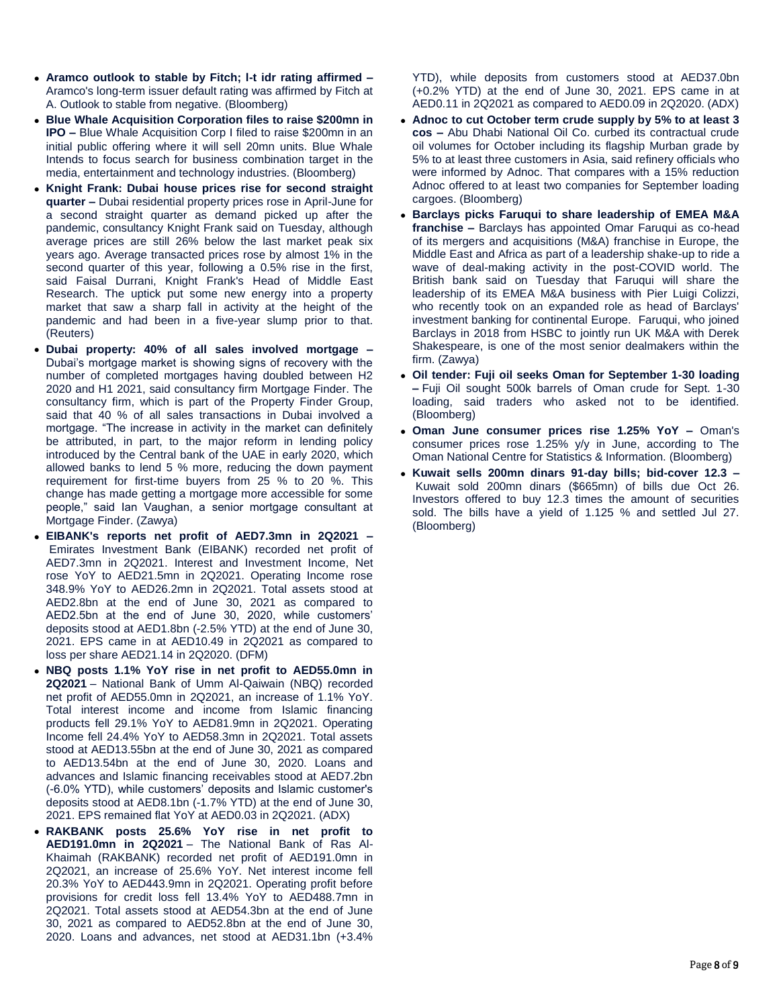- **Aramco outlook to stable by Fitch; l-t idr rating affirmed –** Aramco's long-term issuer default rating was affirmed by Fitch at A. Outlook to stable from negative. (Bloomberg)
- **Blue Whale Acquisition Corporation files to raise \$200mn in IPO –** Blue Whale Acquisition Corp I filed to raise \$200mn in an initial public offering where it will sell 20mn units. Blue Whale Intends to focus search for business combination target in the media, entertainment and technology industries. (Bloomberg)
- **Knight Frank: Dubai house prices rise for second straight quarter –** Dubai residential property prices rose in April-June for a second straight quarter as demand picked up after the pandemic, consultancy Knight Frank said on Tuesday, although average prices are still 26% below the last market peak six years ago. Average transacted prices rose by almost 1% in the second quarter of this year, following a 0.5% rise in the first, said Faisal Durrani, Knight Frank's Head of Middle East Research. The uptick put some new energy into a property market that saw a sharp fall in activity at the height of the pandemic and had been in a five-year slump prior to that. (Reuters)
- **Dubai property: 40% of all sales involved mortgage –** Dubai's mortgage market is showing signs of recovery with the number of completed mortgages having doubled between H2 2020 and H1 2021, said consultancy firm Mortgage Finder. The consultancy firm, which is part of the Property Finder Group, said that 40 % of all sales transactions in Dubai involved a mortgage. "The increase in activity in the market can definitely be attributed, in part, to the major reform in lending policy introduced by the Central bank of the UAE in early 2020, which allowed banks to lend 5 % more, reducing the down payment requirement for first-time buyers from 25 % to 20 %. This change has made getting a mortgage more accessible for some people," said Ian Vaughan, a senior mortgage consultant at Mortgage Finder. (Zawya)
- **EIBANK's reports net profit of AED7.3mn in 2Q2021 –** Emirates Investment Bank (EIBANK) recorded net profit of AED7.3mn in 2Q2021. Interest and Investment Income, Net rose YoY to AED21.5mn in 2Q2021. Operating Income rose 348.9% YoY to AED26.2mn in 2Q2021. Total assets stood at AED2.8bn at the end of June 30, 2021 as compared to AED2.5bn at the end of June 30, 2020, while customers' deposits stood at AED1.8bn (-2.5% YTD) at the end of June 30, 2021. EPS came in at AED10.49 in 2Q2021 as compared to loss per share AED21.14 in 2Q2020. (DFM)
- **NBQ posts 1.1% YoY rise in net profit to AED55.0mn in 2Q2021** – National Bank of Umm Al-Qaiwain (NBQ) recorded net profit of AED55.0mn in 2Q2021, an increase of 1.1% YoY. Total interest income and income from Islamic financing products fell 29.1% YoY to AED81.9mn in 2Q2021. Operating Income fell 24.4% YoY to AED58.3mn in 2Q2021. Total assets stood at AED13.55bn at the end of June 30, 2021 as compared to AED13.54bn at the end of June 30, 2020. Loans and advances and Islamic financing receivables stood at AED7.2bn (-6.0% YTD), while customers' deposits and Islamic customer's deposits stood at AED8.1bn (-1.7% YTD) at the end of June 30, 2021. EPS remained flat YoY at AED0.03 in 2Q2021. (ADX)
- **RAKBANK posts 25.6% YoY rise in net profit to AED191.0mn in 2Q2021** – The National Bank of Ras Al-Khaimah (RAKBANK) recorded net profit of AED191.0mn in 2Q2021, an increase of 25.6% YoY. Net interest income fell 20.3% YoY to AED443.9mn in 2Q2021. Operating profit before provisions for credit loss fell 13.4% YoY to AED488.7mn in 2Q2021. Total assets stood at AED54.3bn at the end of June 30, 2021 as compared to AED52.8bn at the end of June 30, 2020. Loans and advances, net stood at AED31.1bn (+3.4%

YTD), while deposits from customers stood at AED37.0bn (+0.2% YTD) at the end of June 30, 2021. EPS came in at AED0.11 in 2Q2021 as compared to AED0.09 in 2Q2020. (ADX)

- **Adnoc to cut October term crude supply by 5% to at least 3 cos –** Abu Dhabi National Oil Co. curbed its contractual crude oil volumes for October including its flagship Murban grade by 5% to at least three customers in Asia, said refinery officials who were informed by Adnoc. That compares with a 15% reduction Adnoc offered to at least two companies for September loading cargoes. (Bloomberg)
- **Barclays picks Faruqui to share leadership of EMEA M&A franchise –** Barclays has appointed Omar Faruqui as co-head of its mergers and acquisitions (M&A) franchise in Europe, the Middle East and Africa as part of a leadership shake-up to ride a wave of deal-making activity in the post-COVID world. The British bank said on Tuesday that Faruqui will share the leadership of its EMEA M&A business with Pier Luigi Colizzi, who recently took on an expanded role as head of Barclays' investment banking for continental Europe. Faruqui, who joined Barclays in 2018 from HSBC to jointly run UK M&A with Derek Shakespeare, is one of the most senior dealmakers within the firm. (Zawya)
- **Oil tender: Fuji oil seeks Oman for September 1-30 loading –** Fuji Oil sought 500k barrels of Oman crude for Sept. 1-30 loading, said traders who asked not to be identified. (Bloomberg)
- **Oman June consumer prices rise 1.25% YoY –** Oman's consumer prices rose 1.25% y/y in June, according to The Oman National Centre for Statistics & Information. (Bloomberg)
- **Kuwait sells 200mn dinars 91-day bills; bid-cover 12.3 –** Kuwait sold 200mn dinars (\$665mn) of bills due Oct 26. Investors offered to buy 12.3 times the amount of securities sold. The bills have a yield of 1.125 % and settled Jul 27. (Bloomberg)